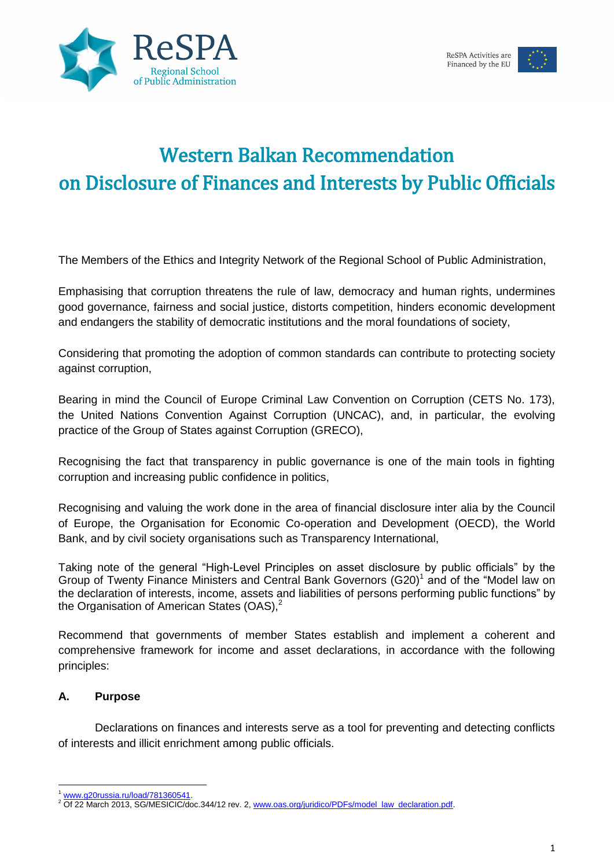



The Members of the Ethics and Integrity Network of the Regional School of Public Administration,

Emphasising that corruption threatens the rule of law, democracy and human rights, undermines good governance, fairness and social justice, distorts competition, hinders economic development and endangers the stability of democratic institutions and the moral foundations of society,

Considering that promoting the adoption of common standards can contribute to protecting society against corruption,

Bearing in mind the Council of Europe Criminal Law Convention on Corruption (CETS No. 173), the United Nations Convention Against Corruption (UNCAC), and, in particular, the evolving practice of the Group of States against Corruption (GRECO),

Recognising the fact that transparency in public governance is one of the main tools in fighting corruption and increasing public confidence in politics,

Recognising and valuing the work done in the area of financial disclosure inter alia by the Council of Europe, the Organisation for Economic Co-operation and Development (OECD), the World Bank, and by civil society organisations such as Transparency International,

Taking note of the general "High-Level Principles on asset disclosure by public officials" by the Group of Twenty Finance Ministers and Central Bank Governors  $(G20)^1$  and of the "Model law on the declaration of interests, income, assets and liabilities of persons performing public functions" by the Organisation of American States (OAS),<sup>2</sup>

Recommend that governments of member States establish and implement a coherent and comprehensive framework for income and asset declarations, in accordance with the following principles:

#### **A. Purpose**

Declarations on finances and interests serve as a tool for preventing and detecting conflicts of interests and illicit enrichment among public officials.

<sup>1</sup> [www.g20russia.ru/load/781360541.](http://www.g20russia.ru/load/781360541)

<sup>&</sup>lt;sup>2</sup> Of 22 March 2013, SG/MESICIC/doc.344/12 rev. 2, [www.oas.org/juridico/PDFs/model\\_law\\_declaration.pdf.](http://www.oas.org/juridico/PDFs/model_law_declaration.pdf)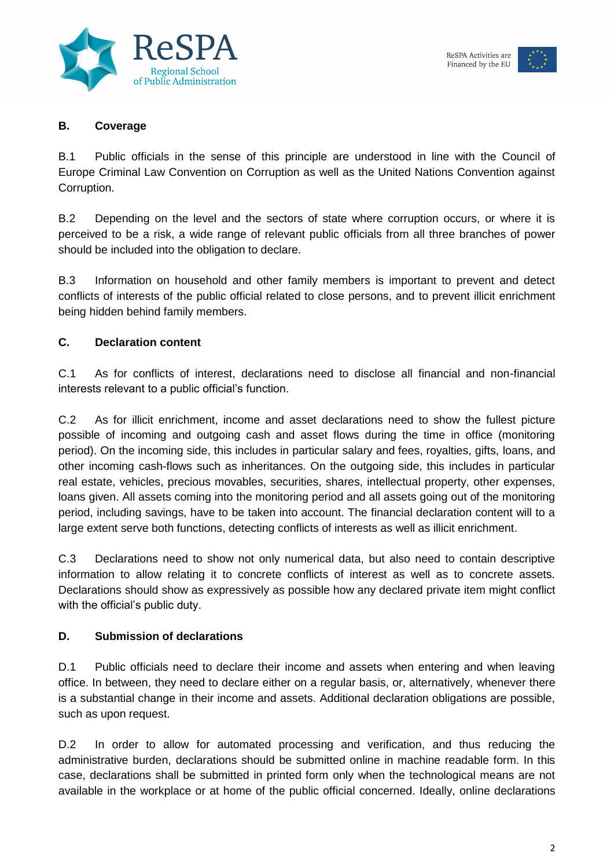



#### **B. Coverage**

B.1 Public officials in the sense of this principle are understood in line with the Council of Europe Criminal Law Convention on Corruption as well as the United Nations Convention against Corruption.

B.2 Depending on the level and the sectors of state where corruption occurs, or where it is perceived to be a risk, a wide range of relevant public officials from all three branches of power should be included into the obligation to declare.

B.3 Information on household and other family members is important to prevent and detect conflicts of interests of the public official related to close persons, and to prevent illicit enrichment being hidden behind family members.

# **C. Declaration content**

C.1 As for conflicts of interest, declarations need to disclose all financial and non-financial interests relevant to a public official's function.

C.2 As for illicit enrichment, income and asset declarations need to show the fullest picture possible of incoming and outgoing cash and asset flows during the time in office (monitoring period). On the incoming side, this includes in particular salary and fees, royalties, gifts, loans, and other incoming cash-flows such as inheritances. On the outgoing side, this includes in particular real estate, vehicles, precious movables, securities, shares, intellectual property, other expenses, loans given. All assets coming into the monitoring period and all assets going out of the monitoring period, including savings, have to be taken into account. The financial declaration content will to a large extent serve both functions, detecting conflicts of interests as well as illicit enrichment.

C.3 Declarations need to show not only numerical data, but also need to contain descriptive information to allow relating it to concrete conflicts of interest as well as to concrete assets. Declarations should show as expressively as possible how any declared private item might conflict with the official's public duty.

# **D. Submission of declarations**

D.1 Public officials need to declare their income and assets when entering and when leaving office. In between, they need to declare either on a regular basis, or, alternatively, whenever there is a substantial change in their income and assets. Additional declaration obligations are possible, such as upon request.

D.2 In order to allow for automated processing and verification, and thus reducing the administrative burden, declarations should be submitted online in machine readable form. In this case, declarations shall be submitted in printed form only when the technological means are not available in the workplace or at home of the public official concerned. Ideally, online declarations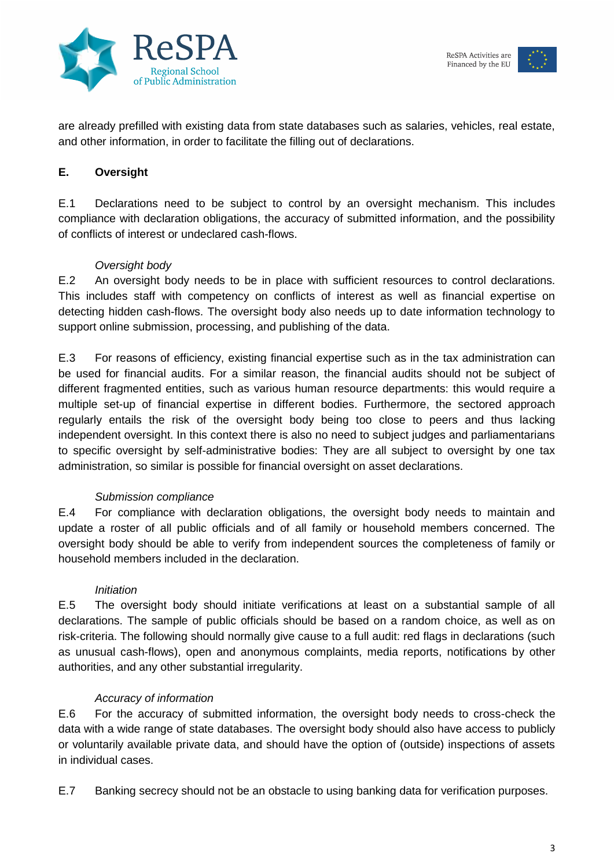



are already prefilled with existing data from state databases such as salaries, vehicles, real estate, and other information, in order to facilitate the filling out of declarations.

# **E. Oversight**

E.1 Declarations need to be subject to control by an oversight mechanism. This includes compliance with declaration obligations, the accuracy of submitted information, and the possibility of conflicts of interest or undeclared cash-flows.

# *Oversight body*

E.2 An oversight body needs to be in place with sufficient resources to control declarations. This includes staff with competency on conflicts of interest as well as financial expertise on detecting hidden cash-flows. The oversight body also needs up to date information technology to support online submission, processing, and publishing of the data.

E.3 For reasons of efficiency, existing financial expertise such as in the tax administration can be used for financial audits. For a similar reason, the financial audits should not be subject of different fragmented entities, such as various human resource departments: this would require a multiple set-up of financial expertise in different bodies. Furthermore, the sectored approach regularly entails the risk of the oversight body being too close to peers and thus lacking independent oversight. In this context there is also no need to subject judges and parliamentarians to specific oversight by self-administrative bodies: They are all subject to oversight by one tax administration, so similar is possible for financial oversight on asset declarations.

#### *Submission compliance*

E.4 For compliance with declaration obligations, the oversight body needs to maintain and update a roster of all public officials and of all family or household members concerned. The oversight body should be able to verify from independent sources the completeness of family or household members included in the declaration.

#### *Initiation*

E.5 The oversight body should initiate verifications at least on a substantial sample of all declarations. The sample of public officials should be based on a random choice, as well as on risk-criteria. The following should normally give cause to a full audit: red flags in declarations (such as unusual cash-flows), open and anonymous complaints, media reports, notifications by other authorities, and any other substantial irregularity.

# *Accuracy of information*

E.6 For the accuracy of submitted information, the oversight body needs to cross-check the data with a wide range of state databases. The oversight body should also have access to publicly or voluntarily available private data, and should have the option of (outside) inspections of assets in individual cases.

E.7 Banking secrecy should not be an obstacle to using banking data for verification purposes.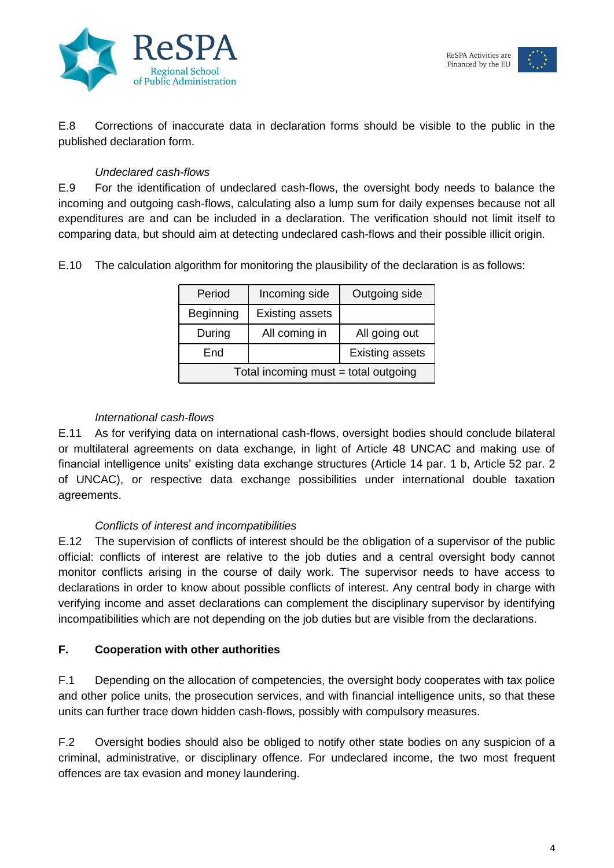



E.8 Corrections of inaccurate data in declaration forms should be visible to the public in the published declaration form.

# *Undeclared cash-flows*

E.9 For the identification of undeclared cash-flows, the oversight body needs to balance the incoming and outgoing cash-flows, calculating also a lump sum for daily expenses because not all expenditures are and can be included in a declaration. The verification should not limit itself to comparing data, but should aim at detecting undeclared cash-flows and their possible illicit origin.

E.10 The calculation algorithm for monitoring the plausibility of the declaration is as follows:

| Period                               | Incoming side          | Outgoing side          |
|--------------------------------------|------------------------|------------------------|
| Beginning                            | <b>Existing assets</b> |                        |
| During                               | All coming in          | All going out          |
| End                                  |                        | <b>Existing assets</b> |
| Total incoming must = total outgoing |                        |                        |

#### *International cash-flows*

E.11 As for verifying data on international cash-flows, oversight bodies should conclude bilateral or multilateral agreements on data exchange, in light of Article 48 UNCAC and making use of financial intelligence units' existing data exchange structures (Article 14 par. 1 b, Article 52 par. 2 of UNCAC), or respective data exchange possibilities under international double taxation agreements.

# *Conflicts of interest and incompatibilities*

E.12 The supervision of conflicts of interest should be the obligation of a supervisor of the public official: conflicts of interest are relative to the job duties and a central oversight body cannot monitor conflicts arising in the course of daily work. The supervisor needs to have access to declarations in order to know about possible conflicts of interest. Any central body in charge with verifying income and asset declarations can complement the disciplinary supervisor by identifying incompatibilities which are not depending on the job duties but are visible from the declarations.

# **F. Cooperation with other authorities**

F.1 Depending on the allocation of competencies, the oversight body cooperates with tax police and other police units, the prosecution services, and with financial intelligence units, so that these units can further trace down hidden cash-flows, possibly with compulsory measures.

F.2 Oversight bodies should also be obliged to notify other state bodies on any suspicion of a criminal, administrative, or disciplinary offence. For undeclared income, the two most frequent offences are tax evasion and money laundering.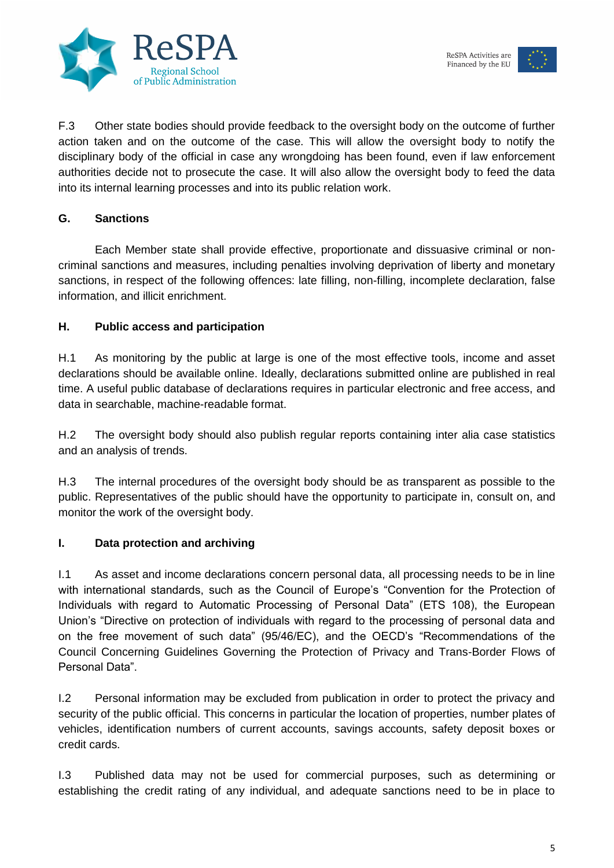



F.3 Other state bodies should provide feedback to the oversight body on the outcome of further action taken and on the outcome of the case. This will allow the oversight body to notify the disciplinary body of the official in case any wrongdoing has been found, even if law enforcement authorities decide not to prosecute the case. It will also allow the oversight body to feed the data into its internal learning processes and into its public relation work.

#### **G. Sanctions**

Each Member state shall provide effective, proportionate and dissuasive criminal or noncriminal sanctions and measures, including penalties involving deprivation of liberty and monetary sanctions, in respect of the following offences: late filling, non-filling, incomplete declaration, false information, and illicit enrichment.

#### **H. Public access and participation**

H.1 As monitoring by the public at large is one of the most effective tools, income and asset declarations should be available online. Ideally, declarations submitted online are published in real time. A useful public database of declarations requires in particular electronic and free access, and data in searchable, machine-readable format.

H.2 The oversight body should also publish regular reports containing inter alia case statistics and an analysis of trends.

H.3 The internal procedures of the oversight body should be as transparent as possible to the public. Representatives of the public should have the opportunity to participate in, consult on, and monitor the work of the oversight body.

#### **I. Data protection and archiving**

I.1 As asset and income declarations concern personal data, all processing needs to be in line with international standards, such as the Council of Europe's "Convention for the Protection of Individuals with regard to Automatic Processing of Personal Data" (ETS 108), the European Union's "Directive on protection of individuals with regard to the processing of personal data and on the free movement of such data" (95/46/EC), and the OECD's "Recommendations of the Council Concerning Guidelines Governing the Protection of Privacy and Trans-Border Flows of Personal Data".

I.2 Personal information may be excluded from publication in order to protect the privacy and security of the public official. This concerns in particular the location of properties, number plates of vehicles, identification numbers of current accounts, savings accounts, safety deposit boxes or credit cards.

I.3 Published data may not be used for commercial purposes, such as determining or establishing the credit rating of any individual, and adequate sanctions need to be in place to